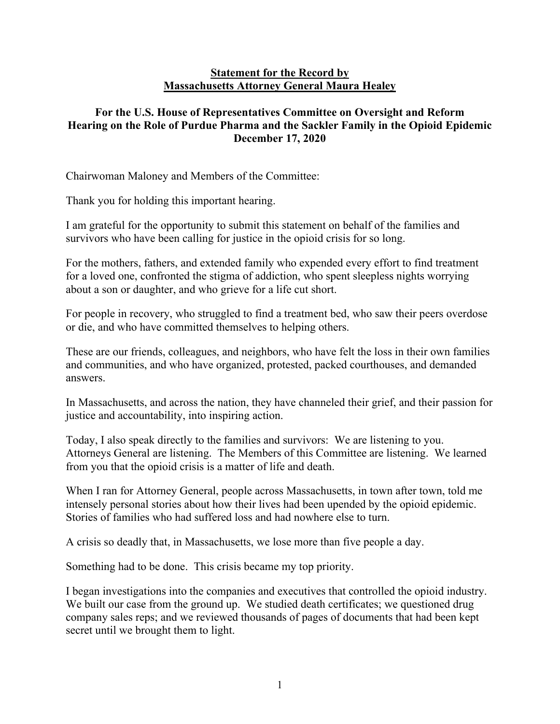## **Statement for the Record by Massachusetts Attorney General Maura Healey**

## **For the U.S. House of Representatives Committee on Oversight and Reform Hearing on the Role of Purdue Pharma and the Sackler Family in the Opioid Epidemic December 17, 2020**

Chairwoman Maloney and Members of the Committee:

Thank you for holding this important hearing.

I am grateful for the opportunity to submit this statement on behalf of the families and survivors who have been calling for justice in the opioid crisis for so long.

For the mothers, fathers, and extended family who expended every effort to find treatment for a loved one, confronted the stigma of addiction, who spent sleepless nights worrying about a son or daughter, and who grieve for a life cut short.

For people in recovery, who struggled to find a treatment bed, who saw their peers overdose or die, and who have committed themselves to helping others.

These are our friends, colleagues, and neighbors, who have felt the loss in their own families and communities, and who have organized, protested, packed courthouses, and demanded answers.

In Massachusetts, and across the nation, they have channeled their grief, and their passion for justice and accountability, into inspiring action.

Today, I also speak directly to the families and survivors: We are listening to you. Attorneys General are listening. The Members of this Committee are listening. We learned from you that the opioid crisis is a matter of life and death.

When I ran for Attorney General, people across Massachusetts, in town after town, told me intensely personal stories about how their lives had been upended by the opioid epidemic. Stories of families who had suffered loss and had nowhere else to turn.

A crisis so deadly that, in Massachusetts, we lose more than five people a day.

Something had to be done. This crisis became my top priority.

I began investigations into the companies and executives that controlled the opioid industry. We built our case from the ground up. We studied death certificates; we questioned drug company sales reps; and we reviewed thousands of pages of documents that had been kept secret until we brought them to light.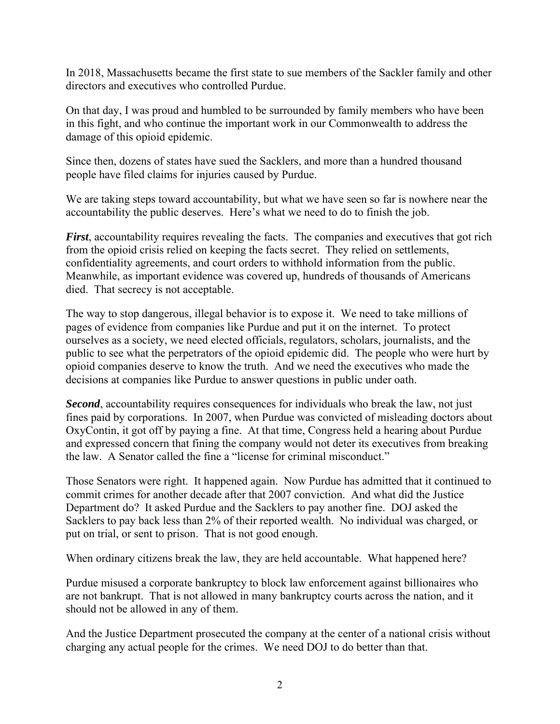In 2018, Massachusetts became the first state to sue members of the Sackler family and other directors and executives who controlled Purdue.

On that day, I was proud and humbled to be surrounded by family members who have been in this fight, and who continue the important work in our Commonwealth to address the damage of this opioid epidemic.

Since then, dozens of states have sued the Sacklers, and more than a hundred thousand people have filed claims for injuries caused by Purdue.

We are taking steps toward accountability, but what we have seen so far is nowhere near the accountability the public deserves. Here's what we need to do to finish the job.

*First*, accountability requires revealing the facts. The companies and executives that got rich from the opioid crisis relied on keeping the facts secret. They relied on settlements, confidentiality agreements, and court orders to withhold information from the public. Meanwhile, as important evidence was covered up, hundreds of thousands of Americans died. That secrecy is not acceptable.

The way to stop dangerous, illegal behavior is to expose it. We need to take millions of pages of evidence from companies like Purdue and put it on the internet. To protect ourselves as a society, we need elected officials, regulators, scholars, journalists, and the public to see what the perpetrators of the opioid epidemic did. The people who were hurt by opioid companies deserve to know the truth. And we need the executives who made the decisions at companies like Purdue to answer questions in public under oath.

*Second*, accountability requires consequences for individuals who break the law, not just fines paid by corporations. In 2007, when Purdue was convicted of misleading doctors about OxyContin, it got off by paying a fine. At that time, Congress held a hearing about Purdue and expressed concern that fining the company would not deter its executives from breaking the law. A Senator called the fine a "license for criminal misconduct."

Those Senators were right. It happened again. Now Purdue has admitted that it continued to commit crimes for another decade after that 2007 conviction. And what did the Justice Department do? It asked Purdue and the Sacklers to pay another fine. DOJ asked the Sacklers to pay back less than 2% of their reported wealth. No individual was charged, or put on trial, or sent to prison. That is not good enough.

When ordinary citizens break the law, they are held accountable. What happened here?

Purdue misused a corporate bankruptcy to block law enforcement against billionaires who are not bankrupt. That is not allowed in many bankruptcy courts across the nation, and it should not be allowed in any of them.

And the Justice Department prosecuted the company at the center of a national crisis without charging any actual people for the crimes. We need DOJ to do better than that.